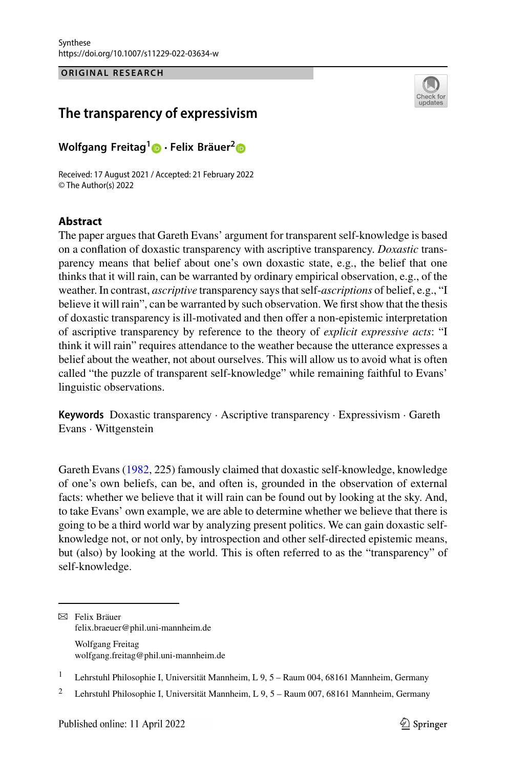**ORIGINAL RESEARCH ORIGINAL RESEARCH**



# **The transparency of expressivism**

**Wolfgang Freitag[1](https://orcid.org/0000-0002-7740-5298) · Felix Bräuer[2](http://orcid.org/0000-0002-4289-0086)**

Received: 17 August 2021 / Accepted: 21 February 2022 © The Author(s) 2022

## **Abstract**

The paper argues that Gareth Evans' argument for transparent self-knowledge is based on a conflation of doxastic transparency with ascriptive transparency. *Doxastic* transparency means that belief about one's own doxastic state, e.g., the belief that one thinks that it will rain, can be warranted by ordinary empirical observation, e.g., of the weather. In contrast, *ascriptive* transparency says that self-*ascriptions* of belief, e.g., "I believe it will rain", can be warranted by such observation. We first show that the thesis of doxastic transparency is ill-motivated and then offer a non-epistemic interpretation of ascriptive transparency by reference to the theory of *explicit expressive acts*: "I think it will rain" requires attendance to the weather because the utterance expresses a belief about the weather, not about ourselves. This will allow us to avoid what is often called "the puzzle of transparent self-knowledge" while remaining faithful to Evans' linguistic observations.

**Keywords** Doxastic transparency · Ascriptive transparency · Expressivism · Gareth Evans · Wittgenstein

Gareth Evans [\(1982,](#page-13-0) 225) famously claimed that doxastic self-knowledge, knowledge of one's own beliefs, can be, and often is, grounded in the observation of external facts: whether we believe that it will rain can be found out by looking at the sky. And, to take Evans' own example, we are able to determine whether we believe that there is going to be a third world war by analyzing present politics. We can gain doxastic selfknowledge not, or not only, by introspection and other self-directed epistemic means, but (also) by looking at the world. This is often referred to as the "transparency" of self-knowledge.

 $\boxtimes$  Felix Bräuer felix.braeuer@phil.uni-mannheim.de Wolfgang Freitag wolfgang.freitag@phil.uni-mannheim.de

<sup>&</sup>lt;sup>1</sup> Lehrstuhl Philosophie I, Universität Mannheim, L 9, 5 – Raum 004, 68161 Mannheim, Germany

<sup>2</sup> Lehrstuhl Philosophie I, Universität Mannheim, L 9, 5 – Raum 007, 68161 Mannheim, Germany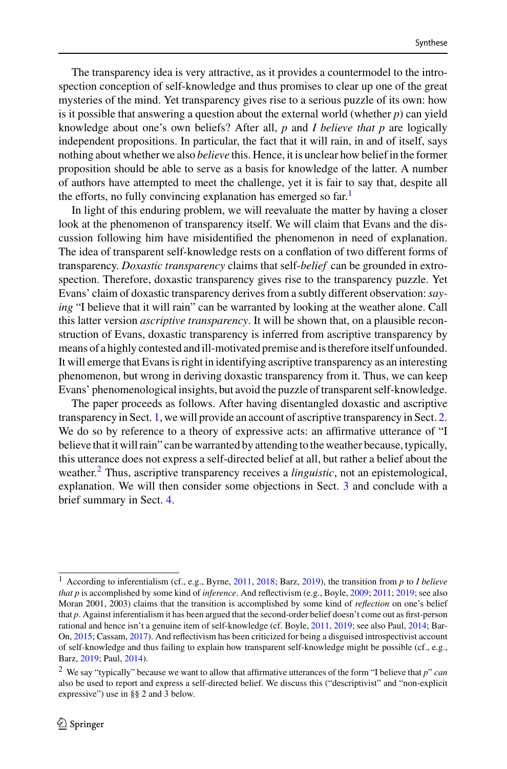The transparency idea is very attractive, as it provides a countermodel to the introspection conception of self-knowledge and thus promises to clear up one of the great mysteries of the mind. Yet transparency gives rise to a serious puzzle of its own: how is it possible that answering a question about the external world (whether  $p$ ) can yield knowledge about one's own beliefs? After all, *p* and *I believe that p* are logically independent propositions. In particular, the fact that it will rain, in and of itself, says nothing about whether we also *believe* this. Hence, it is unclear how belief in the former proposition should be able to serve as a basis for knowledge of the latter. A number of authors have attempted to meet the challenge, yet it is fair to say that, despite all the efforts, no fully convincing explanation has emerged so  $far<sup>1</sup>$  $far<sup>1</sup>$  $far<sup>1</sup>$ 

In light of this enduring problem, we will reevaluate the matter by having a closer look at the phenomenon of transparency itself. We will claim that Evans and the discussion following him have misidentified the phenomenon in need of explanation. The idea of transparent self-knowledge rests on a conflation of two different forms of transparency. *Doxastic transparency* claims that self-*belief* can be grounded in extrospection. Therefore, doxastic transparency gives rise to the transparency puzzle. Yet Evans' claim of doxastic transparency derives from a subtly different observation:*saying* "I believe that it will rain" can be warranted by looking at the weather alone. Call this latter version *ascriptive transparency*. It will be shown that, on a plausible reconstruction of Evans, doxastic transparency is inferred from ascriptive transparency by means of a highly contested and ill-motivated premise and is therefore itself unfounded. It will emerge that Evans is right in identifying ascriptive transparency as an interesting phenomenon, but wrong in deriving doxastic transparency from it. Thus, we can keep Evans' phenomenological insights, but avoid the puzzle of transparent self-knowledge.

The paper proceeds as follows. After having disentangled doxastic and ascriptive transparency in Sect. [1,](#page-2-0) we will provide an account of ascriptive transparency in Sect. [2.](#page-6-0) We do so by reference to a theory of expressive acts: an affirmative utterance of "I believe that it will rain" can be warranted by attending to the weather because, typically, this utterance does not express a self-directed belief at all, but rather a belief about the weather.[2](#page-1-1) Thus, ascriptive transparency receives a *linguistic*, not an epistemological, explanation. We will then consider some objections in Sect. [3](#page-10-0) and conclude with a brief summary in Sect. [4.](#page-12-0)

<span id="page-1-0"></span><sup>1</sup> According to inferentialism (cf., e.g., Byrne, [2011,](#page-13-1) [2018;](#page-13-2) Barz, [2019\)](#page-13-3), the transition from *p* to *I believe that p* is accomplished by some kind of *inference*. And reflectivism (e.g., Boyle, [2009;](#page-13-4) [2011;](#page-13-5) [2019;](#page-13-6) see also Moran 2001, 2003) claims that the transition is accomplished by some kind of *reflection* on one's belief that *p*. Against inferentialism it has been argued that the second-order belief doesn't come out as first-person rational and hence isn't a genuine item of self-knowledge (cf. Boyle, [2011,](#page-13-5) [2019;](#page-13-6) see also Paul, [2014;](#page-13-7) Bar-On, [2015;](#page-12-1) Cassam, [2017\)](#page-13-8). And reflectivism has been criticized for being a disguised introspectivist account of self-knowledge and thus failing to explain how transparent self-knowledge might be possible (cf., e.g., Barz, [2019;](#page-13-3) Paul, [2014\)](#page-13-7).

<span id="page-1-1"></span><sup>2</sup> We say "typically" because we want to allow that affirmative utterances of the form "I believe that *p*" *can* also be used to report and express a self-directed belief. We discuss this ("descriptivist" and "non-explicit expressive") use in §§ 2 and 3 below.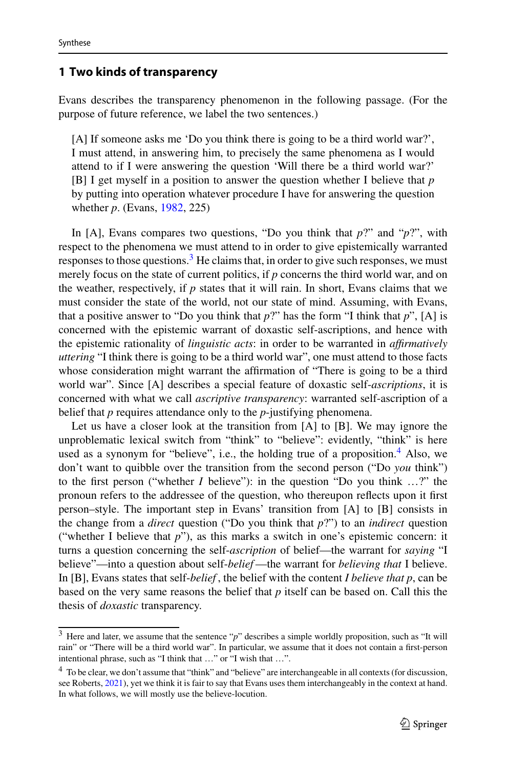### <span id="page-2-0"></span>**1 Two kinds of transparency**

Evans describes the transparency phenomenon in the following passage. (For the purpose of future reference, we label the two sentences.)

[A] If someone asks me 'Do you think there is going to be a third world war?', I must attend, in answering him, to precisely the same phenomena as I would attend to if I were answering the question 'Will there be a third world war?' [B] I get myself in a position to answer the question whether I believe that *p* by putting into operation whatever procedure I have for answering the question whether *p*. (Evans, [1982,](#page-13-0) 225)

In [A], Evans compares two questions, "Do you think that *p*?" and "*p*?", with respect to the phenomena we must attend to in order to give epistemically warranted responses to those questions. $3$  He claims that, in order to give such responses, we must merely focus on the state of current politics, if *p* concerns the third world war, and on the weather, respectively, if *p* states that it will rain. In short, Evans claims that we must consider the state of the world, not our state of mind. Assuming, with Evans, that a positive answer to "Do you think that  $p$ ?" has the form "I think that  $p$ ", [A] is concerned with the epistemic warrant of doxastic self-ascriptions, and hence with the epistemic rationality of *linguistic acts*: in order to be warranted in *affirmatively uttering* "I think there is going to be a third world war", one must attend to those facts whose consideration might warrant the affirmation of "There is going to be a third world war". Since [A] describes a special feature of doxastic self-*ascriptions*, it is concerned with what we call *ascriptive transparency*: warranted self-ascription of a belief that *p* requires attendance only to the *p*-justifying phenomena.

Let us have a closer look at the transition from [A] to [B]. We may ignore the unproblematic lexical switch from "think" to "believe": evidently, "think" is here used as a synonym for "believe", i.e., the holding true of a proposition. $4$  Also, we don't want to quibble over the transition from the second person ("Do *you* think") to the first person ("whether *I* believe"): in the question "Do you think …?" the pronoun refers to the addressee of the question, who thereupon reflects upon it first person–style. The important step in Evans' transition from [A] to [B] consists in the change from a *direct* question ("Do you think that *p*?") to an *indirect* question ("whether I believe that *p*"), as this marks a switch in one's epistemic concern: it turns a question concerning the self-*ascription* of belief—the warrant for *saying* "I believe"—into a question about self-*belief* —the warrant for *believing that* I believe. In [B], Evans states that self-*belief* , the belief with the content *I believe that p*, can be based on the very same reasons the belief that *p* itself can be based on. Call this the thesis of *doxastic* transparency.

<span id="page-2-1"></span><sup>3</sup> Here and later, we assume that the sentence "*p*" describes a simple worldly proposition, such as "It will rain" or "There will be a third world war". In particular, we assume that it does not contain a first-person intentional phrase, such as "I think that …" or "I wish that …".

<span id="page-2-2"></span><sup>4</sup> To be clear, we don't assume that "think" and "believe" are interchangeable in all contexts (for discussion, see Roberts, [2021\)](#page-13-9), yet we think it is fair to say that Evans uses them interchangeably in the context at hand. In what follows, we will mostly use the believe-locution.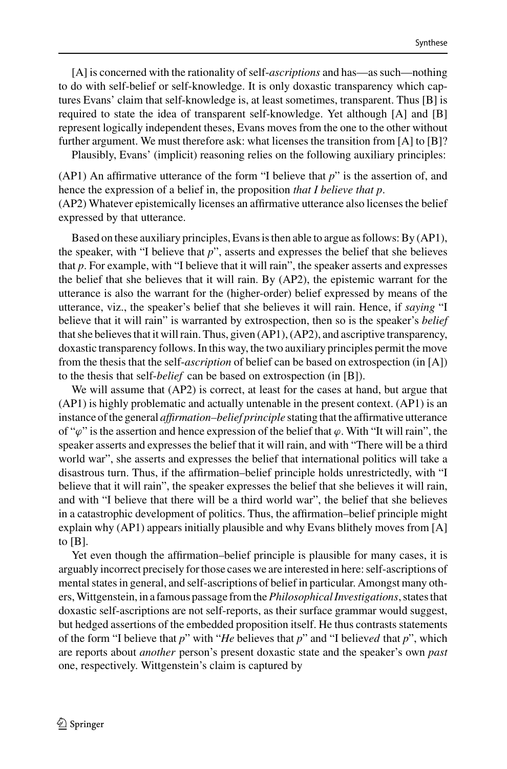[A] is concerned with the rationality of self-*ascriptions* and has—as such—nothing to do with self-belief or self-knowledge. It is only doxastic transparency which captures Evans' claim that self-knowledge is, at least sometimes, transparent. Thus [B] is required to state the idea of transparent self-knowledge. Yet although [A] and [B] represent logically independent theses, Evans moves from the one to the other without further argument. We must therefore ask: what licenses the transition from [A] to [B]?

Plausibly, Evans' (implicit) reasoning relies on the following auxiliary principles:

(AP1) An affirmative utterance of the form "I believe that *p*" is the assertion of, and hence the expression of a belief in, the proposition *that I believe that p*.

(AP2) Whatever epistemically licenses an affirmative utterance also licenses the belief expressed by that utterance.

Based on these auxiliary principles, Evans is then able to argue as follows: By (AP1), the speaker, with "I believe that *p*", asserts and expresses the belief that she believes that *p*. For example, with "I believe that it will rain", the speaker asserts and expresses the belief that she believes that it will rain. By (AP2), the epistemic warrant for the utterance is also the warrant for the (higher-order) belief expressed by means of the utterance, viz., the speaker's belief that she believes it will rain. Hence, if *saying* "I believe that it will rain" is warranted by extrospection, then so is the speaker's *belief* that she believes that it will rain. Thus, given (AP1), (AP2), and ascriptive transparency, doxastic transparency follows. In this way, the two auxiliary principles permit the move from the thesis that the self-*ascription* of belief can be based on extrospection (in [A]) to the thesis that self-*belief* can be based on extrospection (in [B]).

We will assume that (AP2) is correct, at least for the cases at hand, but argue that (AP1) is highly problematic and actually untenable in the present context. (AP1) is an instance of the general *affirmation–belief principle* stating that the affirmative utterance of " $\varphi$ " is the assertion and hence expression of the belief that  $\varphi$ . With "It will rain", the speaker asserts and expresses the belief that it will rain, and with "There will be a third world war", she asserts and expresses the belief that international politics will take a disastrous turn. Thus, if the affirmation–belief principle holds unrestrictedly, with "I believe that it will rain", the speaker expresses the belief that she believes it will rain, and with "I believe that there will be a third world war", the belief that she believes in a catastrophic development of politics. Thus, the affirmation–belief principle might explain why (AP1) appears initially plausible and why Evans blithely moves from [A] to  $[B]$ .

Yet even though the affirmation–belief principle is plausible for many cases, it is arguably incorrect precisely for those cases we are interested in here: self-ascriptions of mental states in general, and self-ascriptions of belief in particular. Amongst many others,Wittgenstein, in a famous passage from the*Philosophical Investigations*, states that doxastic self-ascriptions are not self-reports, as their surface grammar would suggest, but hedged assertions of the embedded proposition itself. He thus contrasts statements of the form "I believe that *p*" with "*He* believes that *p*" and "I believ*ed* that *p*", which are reports about *another* person's present doxastic state and the speaker's own *past* one, respectively. Wittgenstein's claim is captured by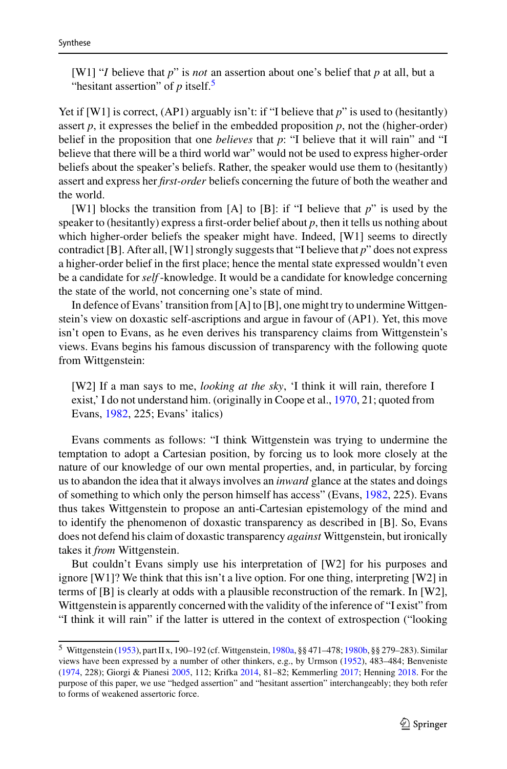[W1] "*I* believe that *p*" is *not* an assertion about one's belief that *p* at all, but a "hesitant assertion" of *p* itself.<sup>5</sup>

Yet if [W1] is correct, (AP1) arguably isn't: if "I believe that *p*" is used to (hesitantly) assert  $p$ , it expresses the belief in the embedded proposition  $p$ , not the (higher-order) belief in the proposition that one *believes* that *p*: "I believe that it will rain" and "I believe that there will be a third world war" would not be used to express higher-order beliefs about the speaker's beliefs. Rather, the speaker would use them to (hesitantly) assert and express her *first-order* beliefs concerning the future of both the weather and the world.

[W1] blocks the transition from [A] to [B]: if "I believe that *p*" is used by the speaker to (hesitantly) express a first-order belief about *p*, then it tells us nothing about which higher-order beliefs the speaker might have. Indeed, [W1] seems to directly contradict [B]. After all, [W1] strongly suggests that "I believe that *p*" does not express a higher-order belief in the first place; hence the mental state expressed wouldn't even be a candidate for *self* -knowledge. It would be a candidate for knowledge concerning the state of the world, not concerning one's state of mind.

In defence of Evans' transition from [A] to [B], one might try to undermine Wittgenstein's view on doxastic self-ascriptions and argue in favour of (AP1). Yet, this move isn't open to Evans, as he even derives his transparency claims from Wittgenstein's views. Evans begins his famous discussion of transparency with the following quote from Wittgenstein:

[W2] If a man says to me, *looking at the sky*, 'I think it will rain, therefore I exist,' I do not understand him. (originally in Coope et al., [1970,](#page-13-10) 21; quoted from Evans, [1982,](#page-13-0) 225; Evans' italics)

Evans comments as follows: "I think Wittgenstein was trying to undermine the temptation to adopt a Cartesian position, by forcing us to look more closely at the nature of our knowledge of our own mental properties, and, in particular, by forcing us to abandon the idea that it always involves an *inward* glance at the states and doings of something to which only the person himself has access" (Evans, [1982,](#page-13-0) 225). Evans thus takes Wittgenstein to propose an anti-Cartesian epistemology of the mind and to identify the phenomenon of doxastic transparency as described in [B]. So, Evans does not defend his claim of doxastic transparency *against* Wittgenstein, but ironically takes it *from* Wittgenstein.

But couldn't Evans simply use his interpretation of [W2] for his purposes and ignore [W1]? We think that this isn't a live option. For one thing, interpreting [W2] in terms of [B] is clearly at odds with a plausible reconstruction of the remark. In [W2], Wittgenstein is apparently concerned with the validity of the inference of "I exist" from "I think it will rain" if the latter is uttered in the context of extrospection ("looking

<span id="page-4-0"></span><sup>5</sup> Wittgenstein [\(1953\)](#page-14-0), part II x, 190–192 (cf.Wittgenstein, [1980a,](#page-14-1) §§ 471–478; [1980b,](#page-14-2) §§ 279–283). Similar views have been expressed by a number of other thinkers, e.g., by Urmson [\(1952\)](#page-14-3), 483–484; Benveniste [\(1974,](#page-13-11) 228); Giorgi & Pianesi [2005,](#page-13-12) 112; Krifka [2014,](#page-13-13) 81–82; Kemmerling [2017;](#page-13-14) Henning [2018.](#page-13-15) For the purpose of this paper, we use "hedged assertion" and "hesitant assertion" interchangeably; they both refer to forms of weakened assertoric force.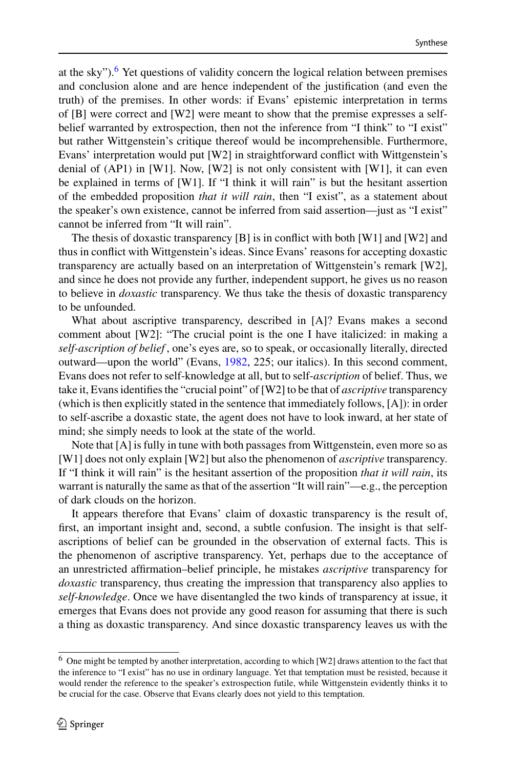at the sky").<sup>[6](#page-5-0)</sup> Yet questions of validity concern the logical relation between premises and conclusion alone and are hence independent of the justification (and even the truth) of the premises. In other words: if Evans' epistemic interpretation in terms of [B] were correct and [W2] were meant to show that the premise expresses a selfbelief warranted by extrospection, then not the inference from "I think" to "I exist" but rather Wittgenstein's critique thereof would be incomprehensible. Furthermore, Evans' interpretation would put [W2] in straightforward conflict with Wittgenstein's denial of  $(AP1)$  in [W1]. Now, [W2] is not only consistent with [W1], it can even be explained in terms of [W1]. If "I think it will rain" is but the hesitant assertion of the embedded proposition *that it will rain*, then "I exist", as a statement about the speaker's own existence, cannot be inferred from said assertion—just as "I exist" cannot be inferred from "It will rain".

The thesis of doxastic transparency [B] is in conflict with both [W1] and [W2] and thus in conflict with Wittgenstein's ideas. Since Evans' reasons for accepting doxastic transparency are actually based on an interpretation of Wittgenstein's remark [W2], and since he does not provide any further, independent support, he gives us no reason to believe in *doxastic* transparency. We thus take the thesis of doxastic transparency to be unfounded.

What about ascriptive transparency, described in [A]? Evans makes a second comment about [W2]: "The crucial point is the one I have italicized: in making a *self-ascription of belief* , one's eyes are, so to speak, or occasionally literally, directed outward—upon the world" (Evans, [1982,](#page-13-0) 225; our italics). In this second comment, Evans does not refer to self-knowledge at all, but to self-*ascription* of belief. Thus, we take it, Evans identifies the "crucial point" of [W2] to be that of *ascriptive* transparency (which is then explicitly stated in the sentence that immediately follows, [A]): in order to self-ascribe a doxastic state, the agent does not have to look inward, at her state of mind; she simply needs to look at the state of the world.

Note that [A] is fully in tune with both passages from Wittgenstein, even more so as [W1] does not only explain [W2] but also the phenomenon of *ascriptive* transparency. If "I think it will rain" is the hesitant assertion of the proposition *that it will rain*, its warrant is naturally the same as that of the assertion "It will rain"—e.g., the perception of dark clouds on the horizon.

It appears therefore that Evans' claim of doxastic transparency is the result of, first, an important insight and, second, a subtle confusion. The insight is that selfascriptions of belief can be grounded in the observation of external facts. This is the phenomenon of ascriptive transparency. Yet, perhaps due to the acceptance of an unrestricted affirmation–belief principle, he mistakes *ascriptive* transparency for *doxastic* transparency, thus creating the impression that transparency also applies to *self-knowledge*. Once we have disentangled the two kinds of transparency at issue, it emerges that Evans does not provide any good reason for assuming that there is such a thing as doxastic transparency. And since doxastic transparency leaves us with the

<span id="page-5-0"></span> $6$  One might be tempted by another interpretation, according to which [W2] draws attention to the fact that the inference to "I exist" has no use in ordinary language. Yet that temptation must be resisted, because it would render the reference to the speaker's extrospection futile, while Wittgenstein evidently thinks it to be crucial for the case. Observe that Evans clearly does not yield to this temptation.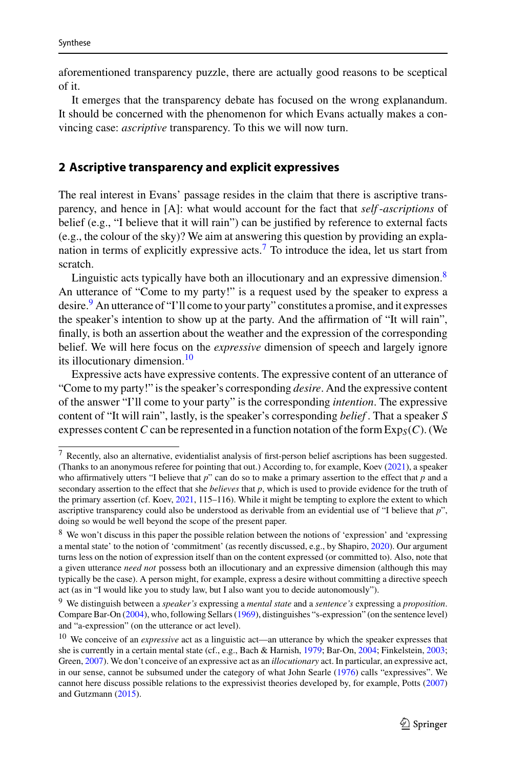aforementioned transparency puzzle, there are actually good reasons to be sceptical of it.

It emerges that the transparency debate has focused on the wrong explanandum. It should be concerned with the phenomenon for which Evans actually makes a convincing case: *ascriptive* transparency. To this we will now turn.

#### <span id="page-6-0"></span>**2 Ascriptive transparency and explicit expressives**

The real interest in Evans' passage resides in the claim that there is ascriptive transparency, and hence in [A]: what would account for the fact that *self* -*ascriptions* of belief (e.g., "I believe that it will rain") can be justified by reference to external facts (e.g., the colour of the sky)? We aim at answering this question by providing an expla-nation in terms of explicitly expressive acts.<sup>[7](#page-6-1)</sup> To introduce the idea, let us start from scratch.

Linguistic acts typically have both an illocutionary and an expressive dimension. $8$ An utterance of "Come to my party!" is a request used by the speaker to express a desire.<sup>[9](#page-6-3)</sup> An utterance of "I'll come to your party" constitutes a promise, and it expresses the speaker's intention to show up at the party. And the affirmation of "It will rain", finally, is both an assertion about the weather and the expression of the corresponding belief. We will here focus on the *expressive* dimension of speech and largely ignore its illocutionary dimension.[10](#page-6-4)

Expressive acts have expressive contents. The expressive content of an utterance of "Come to my party!" is the speaker's corresponding *desire*. And the expressive content of the answer "I'll come to your party" is the corresponding *intention*. The expressive content of "It will rain", lastly, is the speaker's corresponding *belief* . That a speaker *S* expresses content *C* can be represented in a function notation of the form  $Exp<sub>S</sub>(C)$ . (We

<span id="page-6-1"></span><sup>7</sup> Recently, also an alternative, evidentialist analysis of first-person belief ascriptions has been suggested. (Thanks to an anonymous referee for pointing that out.) According to, for example, Koev [\(2021\)](#page-13-16), a speaker who affirmatively utters "I believe that *p*" can do so to make a primary assertion to the effect that *p* and a secondary assertion to the effect that she *believes* that *p*, which is used to provide evidence for the truth of the primary assertion (cf. Koev, [2021,](#page-13-16) 115–116). While it might be tempting to explore the extent to which ascriptive transparency could also be understood as derivable from an evidential use of "I believe that *p*", doing so would be well beyond the scope of the present paper.

<span id="page-6-2"></span><sup>8</sup> We won't discuss in this paper the possible relation between the notions of 'expression' and 'expressing a mental state' to the notion of 'commitment' (as recently discussed, e.g., by Shapiro, [2020\)](#page-14-4). Our argument turns less on the notion of expression itself than on the content expressed (or committed to). Also, note that a given utterance *need not* possess both an illocutionary and an expressive dimension (although this may typically be the case). A person might, for example, express a desire without committing a directive speech act (as in "I would like you to study law, but I also want you to decide autonomously").

<span id="page-6-3"></span><sup>9</sup> We distinguish between a *speaker's* expressing a *mental state* and a *sentence's* expressing a *proposition*. Compare Bar-On [\(2004\)](#page-12-2), who, following Sellars [\(1969\)](#page-14-5), distinguishes "s-expression" (on the sentence level) and "a-expression" (on the utterance or act level).

<span id="page-6-4"></span><sup>10</sup> We conceive of an *expressive* act as a linguistic act—an utterance by which the speaker expresses that she is currently in a certain mental state (cf., e.g., Bach & Harnish, [1979;](#page-12-3) Bar-On, [2004;](#page-12-2) Finkelstein, [2003;](#page-13-17) Green, [2007\)](#page-13-18). We don't conceive of an expressive act as an *illocutionary* act. In particular, an expressive act, in our sense, cannot be subsumed under the category of what John Searle [\(1976\)](#page-14-6) calls "expressives". We cannot here discuss possible relations to the expressivist theories developed by, for example, Potts [\(2007\)](#page-13-19) and Gutzmann [\(2015\)](#page-13-20).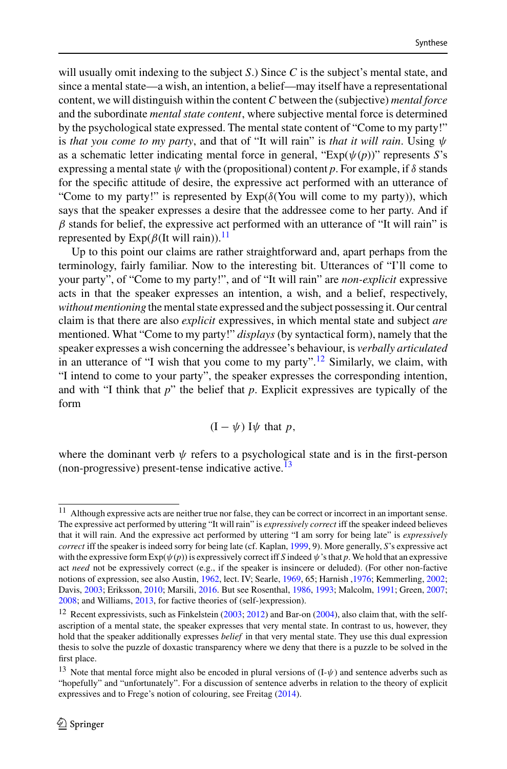will usually omit indexing to the subject *S*.) Since *C* is the subject's mental state, and since a mental state—a wish, an intention, a belief—may itself have a representational content, we will distinguish within the content *C* between the (subjective) *mental force* and the subordinate *mental state content*, where subjective mental force is determined by the psychological state expressed. The mental state content of "Come to my party!" is *that you come to my party*, and that of "It will rain" is *that it will rain*. Using  $\psi$ as a schematic letter indicating mental force in general, "Exp(ψ(*p*))" represents *S*'s expressing a mental state  $\psi$  with the (propositional) content p. For example, if  $\delta$  stands for the specific attitude of desire, the expressive act performed with an utterance of "Come to my party!" is represented by  $Exp(\delta(You will come to my party))$ , which says that the speaker expresses a desire that the addressee come to her party. And if  $\beta$  stands for belief, the expressive act performed with an utterance of "It will rain" is represented by  $Exp(\beta(It \text{ will rain}))$ .<sup>[11](#page-7-0)</sup>

Up to this point our claims are rather straightforward and, apart perhaps from the terminology, fairly familiar. Now to the interesting bit. Utterances of "I'll come to your party", of "Come to my party!", and of "It will rain" are *non-explicit* expressive acts in that the speaker expresses an intention, a wish, and a belief, respectively, *without mentioning* the mental state expressed and the subject possessing it. Our central claim is that there are also *explicit* expressives, in which mental state and subject *are* mentioned. What "Come to my party!" *displays* (by syntactical form), namely that the speaker expresses a wish concerning the addressee's behaviour, is *verbally articulated* in an utterance of "I wish that you come to my party".<sup>[12](#page-7-1)</sup> Similarly, we claim, with "I intend to come to your party", the speaker expresses the corresponding intention, and with "I think that *p*" the belief that *p*. Explicit expressives are typically of the form

$$
(I - \psi) I\psi
$$
 that p,

where the dominant verb  $\psi$  refers to a psychological state and is in the first-person (non-progressive) present-tense indicative active. $^{13}$ 

<span id="page-7-0"></span><sup>11</sup> Although expressive acts are neither true nor false, they can be correct or incorrect in an important sense. The expressive act performed by uttering "It will rain" is *expressively correct* iff the speaker indeed believes that it will rain. And the expressive act performed by uttering "I am sorry for being late" is *expressively correct* iff the speaker is indeed sorry for being late (cf. Kaplan, [1999,](#page-13-21) 9). More generally, *S*'s expressive act with the expressive form  $Exp(\psi(p))$  is expressively correct iff *S* indeed  $\psi$ 's that *p*. We hold that an expressive act *need* not be expressively correct (e.g., if the speaker is insincere or deluded). (For other non-factive notions of expression, see also Austin, [1962,](#page-12-4) lect. IV; Searle, [1969,](#page-14-7) 65; Harnish [,1976;](#page-13-22) Kemmerling, [2002;](#page-13-23) Davis, [2003;](#page-13-24) Eriksson, [2010;](#page-13-25) Marsili, [2016.](#page-13-26) But see Rosenthal, [1986,](#page-14-8) [1993;](#page-14-9) Malcolm, [1991;](#page-13-27) Green, [2007;](#page-13-18) [2008;](#page-13-28) and Williams, [2013,](#page-14-10) for factive theories of (self-)expression).

<span id="page-7-1"></span><sup>&</sup>lt;sup>12</sup> Recent expressivists, such as Finkelstein [\(2003;](#page-13-17) [2012\)](#page-13-29) and Bar-on [\(2004\)](#page-12-2), also claim that, with the selfascription of a mental state, the speaker expresses that very mental state. In contrast to us, however, they hold that the speaker additionally expresses *belief* in that very mental state. They use this dual expression thesis to solve the puzzle of doxastic transparency where we deny that there is a puzzle to be solved in the first place.

<span id="page-7-2"></span><sup>&</sup>lt;sup>13</sup> Note that mental force might also be encoded in plural versions of  $(I-\psi)$  and sentence adverbs such as "hopefully" and "unfortunately". For a discussion of sentence adverbs in relation to the theory of explicit expressives and to Frege's notion of colouring, see Freitag [\(2014\)](#page-13-30).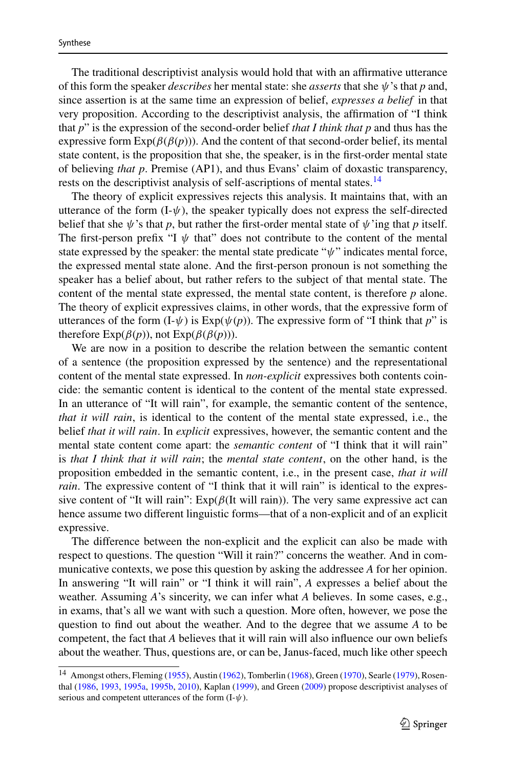The traditional descriptivist analysis would hold that with an affirmative utterance of this form the speaker *describes* her mental state: she *asserts* that she ψ's that *p* and, since assertion is at the same time an expression of belief, *expresses a belief* in that very proposition. According to the descriptivist analysis, the affirmation of "I think that *p*" is the expression of the second-order belief *that I think that p* and thus has the expressive form  $Exp(\beta(\beta(p)))$ . And the content of that second-order belief, its mental state content, is the proposition that she, the speaker, is in the first-order mental state of believing *that p*. Premise (AP1), and thus Evans' claim of doxastic transparency, rests on the descriptivist analysis of self-ascriptions of mental states.<sup>[14](#page-8-0)</sup>

The theory of explicit expressives rejects this analysis. It maintains that, with an utterance of the form  $(I-\psi)$ , the speaker typically does not express the self-directed belief that she  $\psi$ 's that *p*, but rather the first-order mental state of  $\psi$ 'ing that *p* itself. The first-person prefix "I  $\psi$  that" does not contribute to the content of the mental state expressed by the speaker: the mental state predicate " $\psi$ " indicates mental force, the expressed mental state alone. And the first-person pronoun is not something the speaker has a belief about, but rather refers to the subject of that mental state. The content of the mental state expressed, the mental state content, is therefore *p* alone. The theory of explicit expressives claims, in other words, that the expressive form of utterances of the form  $(I-\psi)$  is  $Exp(\psi(p))$ . The expressive form of "I think that *p*" is therefore  $Exp(\beta(p))$ , not  $Exp(\beta(\beta(p)))$ .

We are now in a position to describe the relation between the semantic content of a sentence (the proposition expressed by the sentence) and the representational content of the mental state expressed. In *non-explicit* expressives both contents coincide: the semantic content is identical to the content of the mental state expressed. In an utterance of "It will rain", for example, the semantic content of the sentence, *that it will rain*, is identical to the content of the mental state expressed, i.e., the belief *that it will rain*. In *explicit* expressives, however, the semantic content and the mental state content come apart: the *semantic content* of "I think that it will rain" is *that I think that it will rain*; the *mental state content*, on the other hand, is the proposition embedded in the semantic content, i.e., in the present case, *that it will rain*. The expressive content of "I think that it will rain" is identical to the expressive content of "It will rain":  $Exp(\beta(It \text{ will rain}))$ . The very same expressive act can hence assume two different linguistic forms—that of a non-explicit and of an explicit expressive.

The difference between the non-explicit and the explicit can also be made with respect to questions. The question "Will it rain?" concerns the weather. And in communicative contexts, we pose this question by asking the addressee *A* for her opinion. In answering "It will rain" or "I think it will rain", *A* expresses a belief about the weather. Assuming *A*'s sincerity, we can infer what *A* believes. In some cases, e.g., in exams, that's all we want with such a question. More often, however, we pose the question to find out about the weather. And to the degree that we assume *A* to be competent, the fact that *A* believes that it will rain will also influence our own beliefs about the weather. Thus, questions are, or can be, Janus-faced, much like other speech

<span id="page-8-0"></span><sup>&</sup>lt;sup>14</sup> Amongst others, Fleming [\(1955\)](#page-13-31), Austin [\(1962\)](#page-12-4), Tomberlin [\(1968\)](#page-14-11), Green [\(1970\)](#page-13-32), Searle [\(1979\)](#page-14-12), Rosenthal [\(1986,](#page-14-8) [1993,](#page-14-9) [1995a,](#page-14-13) [1995b,](#page-14-14) [2010\)](#page-14-15), Kaplan [\(1999\)](#page-13-21), and Green [\(2009\)](#page-13-33) propose descriptivist analyses of serious and competent utterances of the form  $(I-\psi)$ .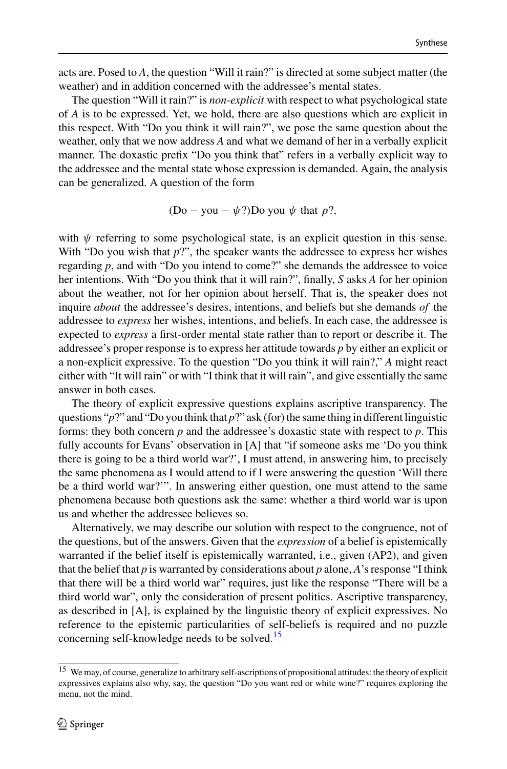acts are. Posed to *A*, the question "Will it rain?" is directed at some subject matter (the weather) and in addition concerned with the addressee's mental states.

The question "Will it rain?" is *non-explicit* with respect to what psychological state of *A* is to be expressed. Yet, we hold, there are also questions which are explicit in this respect. With "Do you think it will rain?", we pose the same question about the weather, only that we now address *A* and what we demand of her in a verbally explicit manner. The doxastic prefix "Do you think that" refers in a verbally explicit way to the addressee and the mental state whose expression is demanded. Again, the analysis can be generalized. A question of the form

(Do – you –  $\psi$ ?)Do you  $\psi$  that *p*?.

with  $\psi$  referring to some psychological state, is an explicit question in this sense. With "Do you wish that  $p$ ?", the speaker wants the addressee to express her wishes regarding *p*, and with "Do you intend to come?" she demands the addressee to voice her intentions. With "Do you think that it will rain?", finally, *S* asks *A* for her opinion about the weather, not for her opinion about herself. That is, the speaker does not inquire *about* the addressee's desires, intentions, and beliefs but she demands *of* the addressee to *express* her wishes, intentions, and beliefs. In each case, the addressee is expected to *express* a first-order mental state rather than to report or describe it. The addressee's proper response is to express her attitude towards *p* by either an explicit or a non-explicit expressive. To the question "Do you think it will rain?," *A* might react either with "It will rain" or with "I think that it will rain", and give essentially the same answer in both cases.

The theory of explicit expressive questions explains ascriptive transparency. The questions "*p*?" and "Do you think that *p*?" ask (for) the same thing in different linguistic forms: they both concern *p* and the addressee's doxastic state with respect to *p*. This fully accounts for Evans' observation in [A] that "if someone asks me 'Do you think there is going to be a third world war?', I must attend, in answering him, to precisely the same phenomena as I would attend to if I were answering the question 'Will there be a third world war?'". In answering either question, one must attend to the same phenomena because both questions ask the same: whether a third world war is upon us and whether the addressee believes so.

Alternatively, we may describe our solution with respect to the congruence, not of the questions, but of the answers. Given that the *expression* of a belief is epistemically warranted if the belief itself is epistemically warranted, i.e., given (AP2), and given that the belief that *p* is warranted by considerations about *p* alone, *A*'s response "I think that there will be a third world war" requires, just like the response "There will be a third world war", only the consideration of present politics. Ascriptive transparency, as described in [A], is explained by the linguistic theory of explicit expressives. No reference to the epistemic particularities of self-beliefs is required and no puzzle concerning self-knowledge needs to be solved.<sup>[15](#page-9-0)</sup>

<span id="page-9-0"></span><sup>15</sup> We may, of course, generalize to arbitrary self-ascriptions of propositional attitudes: the theory of explicit expressives explains also why, say, the question "Do you want red or white wine?" requires exploring the menu, not the mind.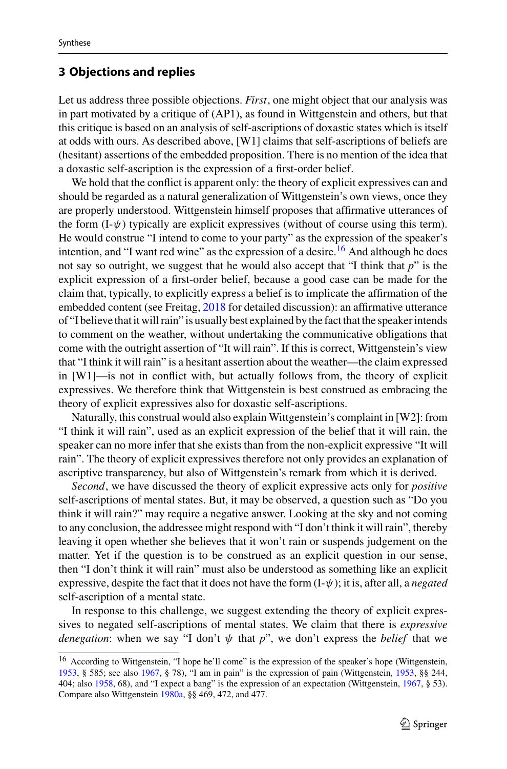### <span id="page-10-0"></span>**3 Objections and replies**

Let us address three possible objections. *First*, one might object that our analysis was in part motivated by a critique of (AP1), as found in Wittgenstein and others, but that this critique is based on an analysis of self-ascriptions of doxastic states which is itself at odds with ours. As described above, [W1] claims that self-ascriptions of beliefs are (hesitant) assertions of the embedded proposition. There is no mention of the idea that a doxastic self-ascription is the expression of a first-order belief.

We hold that the conflict is apparent only: the theory of explicit expressives can and should be regarded as a natural generalization of Wittgenstein's own views, once they are properly understood. Wittgenstein himself proposes that affirmative utterances of the form  $(I-\psi)$  typically are explicit expressives (without of course using this term). He would construe "I intend to come to your party" as the expression of the speaker's intention, and "I want red wine" as the expression of a desire.<sup>[16](#page-10-1)</sup> And although he does not say so outright, we suggest that he would also accept that "I think that *p*" is the explicit expression of a first-order belief, because a good case can be made for the claim that, typically, to explicitly express a belief is to implicate the affirmation of the embedded content (see Freitag, [2018](#page-13-34) for detailed discussion): an affirmative utterance of "I believe that it will rain" is usually best explained by the fact that the speaker intends to comment on the weather, without undertaking the communicative obligations that come with the outright assertion of "It will rain". If this is correct, Wittgenstein's view that "I think it will rain" is a hesitant assertion about the weather—the claim expressed in [W1]—is not in conflict with, but actually follows from, the theory of explicit expressives. We therefore think that Wittgenstein is best construed as embracing the theory of explicit expressives also for doxastic self-ascriptions.

Naturally, this construal would also explain Wittgenstein's complaint in [W2]: from "I think it will rain", used as an explicit expression of the belief that it will rain, the speaker can no more infer that she exists than from the non-explicit expressive "It will rain". The theory of explicit expressives therefore not only provides an explanation of ascriptive transparency, but also of Wittgenstein's remark from which it is derived.

*Second*, we have discussed the theory of explicit expressive acts only for *positive* self-ascriptions of mental states. But, it may be observed, a question such as "Do you think it will rain?" may require a negative answer. Looking at the sky and not coming to any conclusion, the addressee might respond with "I don't think it will rain", thereby leaving it open whether she believes that it won't rain or suspends judgement on the matter. Yet if the question is to be construed as an explicit question in our sense, then "I don't think it will rain" must also be understood as something like an explicit expressive, despite the fact that it does not have the form (I-ψ); it is, after all, a *negated* self-ascription of a mental state.

In response to this challenge, we suggest extending the theory of explicit expressives to negated self-ascriptions of mental states. We claim that there is *expressive denegation*: when we say "I don't  $\psi$  that *p*", we don't express the *belief* that we

<span id="page-10-1"></span><sup>16</sup> According to Wittgenstein, "I hope he'll come" is the expression of the speaker's hope (Wittgenstein, [1953,](#page-14-0) § 585; see also [1967,](#page-14-16) § 78), "I am in pain" is the expression of pain (Wittgenstein, [1953,](#page-14-0) §§ 244, 404; also [1958,](#page-14-17) 68), and "I expect a bang" is the expression of an expectation (Wittgenstein, [1967,](#page-14-16) § 53). Compare also Wittgenstein [1980a,](#page-14-1) §§ 469, 472, and 477.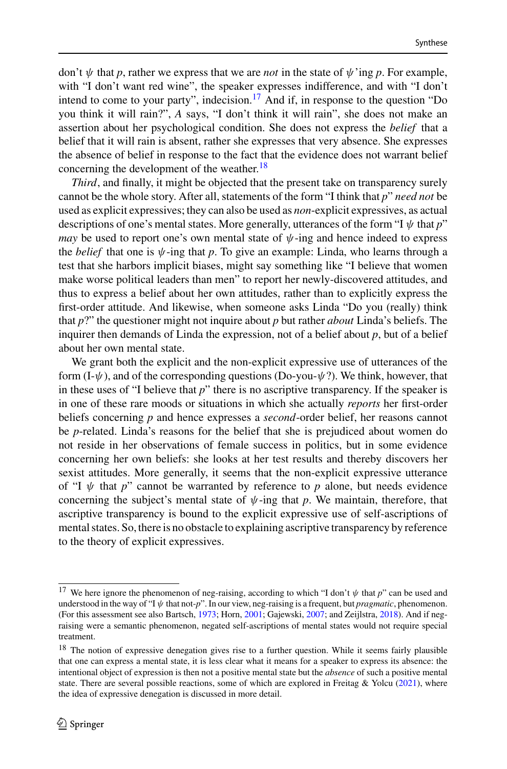don't  $\psi$  that *p*, rather we express that we are *not* in the state of  $\psi$  ing *p*. For example, with "I don't want red wine", the speaker expresses indifference, and with "I don't intend to come to your party", indecision.<sup>[17](#page-11-0)</sup> And if, in response to the question "Do you think it will rain?", *A* says, "I don't think it will rain", she does not make an assertion about her psychological condition. She does not express the *belief* that a belief that it will rain is absent, rather she expresses that very absence. She expresses the absence of belief in response to the fact that the evidence does not warrant belief concerning the development of the weather.<sup>[18](#page-11-1)</sup>

*Third*, and finally, it might be objected that the present take on transparency surely cannot be the whole story. After all, statements of the form "I think that *p*" *need not* be used as explicit expressives; they can also be used as *non*-explicit expressives, as actual descriptions of one's mental states. More generally, utterances of the form "I ψ that *p*" *may* be used to report one's own mental state of  $\psi$ -ing and hence indeed to express the *belief* that one is  $\psi$ -ing that *p*. To give an example: Linda, who learns through a test that she harbors implicit biases, might say something like "I believe that women make worse political leaders than men" to report her newly-discovered attitudes, and thus to express a belief about her own attitudes, rather than to explicitly express the first-order attitude. And likewise, when someone asks Linda "Do you (really) think that *p*?" the questioner might not inquire about *p* but rather *about* Linda's beliefs. The inquirer then demands of Linda the expression, not of a belief about *p*, but of a belief about her own mental state.

We grant both the explicit and the non-explicit expressive use of utterances of the form  $(I-\psi)$ , and of the corresponding questions (Do-you- $\psi$ ?). We think, however, that in these uses of "I believe that *p*" there is no ascriptive transparency. If the speaker is in one of these rare moods or situations in which she actually *reports* her first-order beliefs concerning *p* and hence expresses a *second*-order belief, her reasons cannot be *p*-related. Linda's reasons for the belief that she is prejudiced about women do not reside in her observations of female success in politics, but in some evidence concerning her own beliefs: she looks at her test results and thereby discovers her sexist attitudes. More generally, it seems that the non-explicit expressive utterance of "I  $\psi$  that *p*" cannot be warranted by reference to *p* alone, but needs evidence concerning the subject's mental state of  $\psi$ -ing that p. We maintain, therefore, that ascriptive transparency is bound to the explicit expressive use of self-ascriptions of mental states. So, there is no obstacle to explaining ascriptive transparency by reference to the theory of explicit expressives.

<span id="page-11-0"></span><sup>&</sup>lt;sup>17</sup> We here ignore the phenomenon of neg-raising, according to which "I don't  $\psi$  that  $p$ " can be used and understood in the way of "I ψ that not-*p*". In our view, neg-raising is a frequent, but *pragmatic*, phenomenon. (For this assessment see also Bartsch, [1973;](#page-12-5) Horn, [2001;](#page-13-35) Gajewski, [2007;](#page-13-36) and Zeijlstra, [2018\)](#page-14-18). And if negraising were a semantic phenomenon, negated self-ascriptions of mental states would not require special treatment.

<span id="page-11-1"></span> $18$  The notion of expressive denegation gives rise to a further question. While it seems fairly plausible that one can express a mental state, it is less clear what it means for a speaker to express its absence: the intentional object of expression is then not a positive mental state but the *absence* of such a positive mental state. There are several possible reactions, some of which are explored in Freitag & Yolcu [\(2021\)](#page-13-37), where the idea of expressive denegation is discussed in more detail.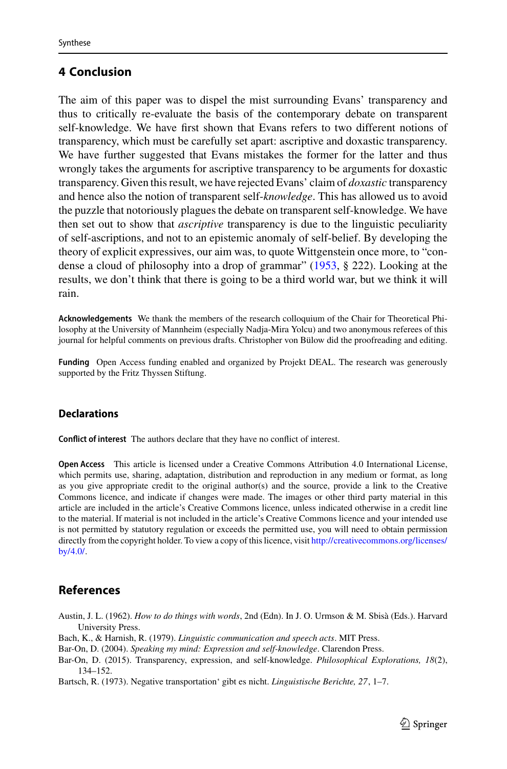# <span id="page-12-0"></span>**4 Conclusion**

The aim of this paper was to dispel the mist surrounding Evans' transparency and thus to critically re-evaluate the basis of the contemporary debate on transparent self-knowledge. We have first shown that Evans refers to two different notions of transparency, which must be carefully set apart: ascriptive and doxastic transparency. We have further suggested that Evans mistakes the former for the latter and thus wrongly takes the arguments for ascriptive transparency to be arguments for doxastic transparency. Given this result, we have rejected Evans' claim of *doxastic* transparency and hence also the notion of transparent self-*knowledge*. This has allowed us to avoid the puzzle that notoriously plagues the debate on transparent self-knowledge. We have then set out to show that *ascriptive* transparency is due to the linguistic peculiarity of self-ascriptions, and not to an epistemic anomaly of self-belief. By developing the theory of explicit expressives, our aim was, to quote Wittgenstein once more, to "condense a cloud of philosophy into a drop of grammar" [\(1953,](#page-14-0) § 222). Looking at the results, we don't think that there is going to be a third world war, but we think it will rain.

**Acknowledgements** We thank the members of the research colloquium of the Chair for Theoretical Philosophy at the University of Mannheim (especially Nadja-Mira Yolcu) and two anonymous referees of this journal for helpful comments on previous drafts. Christopher von Bülow did the proofreading and editing.

**Funding** Open Access funding enabled and organized by Projekt DEAL. The research was generously supported by the Fritz Thyssen Stiftung.

#### **Declarations**

**Conflict of interest** The authors declare that they have no conflict of interest.

**Open Access** This article is licensed under a Creative Commons Attribution 4.0 International License, which permits use, sharing, adaptation, distribution and reproduction in any medium or format, as long as you give appropriate credit to the original author(s) and the source, provide a link to the Creative Commons licence, and indicate if changes were made. The images or other third party material in this article are included in the article's Creative Commons licence, unless indicated otherwise in a credit line to the material. If material is not included in the article's Creative Commons licence and your intended use is not permitted by statutory regulation or exceeds the permitted use, you will need to obtain permission directly from the copyright holder. To view a copy of this licence, visit [http://creativecommons.org/licenses/](http://creativecommons.org/licenses/by/4.0/) [by/4.0/.](http://creativecommons.org/licenses/by/4.0/)

# **References**

- <span id="page-12-4"></span>Austin, J. L. (1962). *How to do things with words*, 2nd (Edn). In J. O. Urmson & M. Sbisà (Eds.). Harvard University Press.
- <span id="page-12-3"></span>Bach, K., & Harnish, R. (1979). *Linguistic communication and speech acts*. MIT Press.
- <span id="page-12-2"></span>Bar-On, D. (2004). *Speaking my mind: Expression and self-knowledge*. Clarendon Press.
- <span id="page-12-1"></span>Bar-On, D. (2015). Transparency, expression, and self-knowledge. *Philosophical Explorations, 18*(2), 134–152.

<span id="page-12-5"></span>Bartsch, R. (1973). Negative transportation' gibt es nicht. *Linguistische Berichte, 27*, 1–7.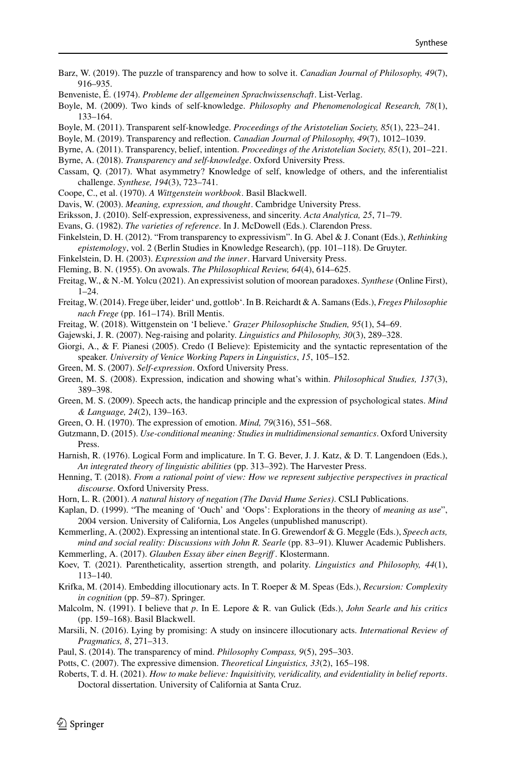- <span id="page-13-3"></span>Barz, W. (2019). The puzzle of transparency and how to solve it. *Canadian Journal of Philosophy, 49*(7), 916–935.
- <span id="page-13-11"></span>Benveniste, É. (1974). *Probleme der allgemeinen Sprachwissenschaft*. List-Verlag.
- <span id="page-13-4"></span>Boyle, M. (2009). Two kinds of self-knowledge. *Philosophy and Phenomenological Research, 78*(1), 133–164.
- <span id="page-13-5"></span>Boyle, M. (2011). Transparent self-knowledge. *Proceedings of the Aristotelian Society, 85*(1), 223–241.
- <span id="page-13-6"></span>Boyle, M. (2019). Transparency and reflection. *Canadian Journal of Philosophy, 49*(7), 1012–1039.
- <span id="page-13-1"></span>Byrne, A. (2011). Transparency, belief, intention. *Proceedings of the Aristotelian Society, 85*(1), 201–221.
- <span id="page-13-2"></span>Byrne, A. (2018). *Transparency and self-knowledge*. Oxford University Press.
- <span id="page-13-8"></span>Cassam, Q. (2017). What asymmetry? Knowledge of self, knowledge of others, and the inferentialist challenge. *Synthese, 194*(3), 723–741.
- <span id="page-13-10"></span>Coope, C., et al. (1970). *A Wittgenstein workbook*. Basil Blackwell.
- <span id="page-13-24"></span>Davis, W. (2003). *Meaning, expression, and thought*. Cambridge University Press.
- <span id="page-13-25"></span>Eriksson, J. (2010). Self-expression, expressiveness, and sincerity. *Acta Analytica, 25*, 71–79.
- <span id="page-13-0"></span>Evans, G. (1982). *The varieties of reference*. In J. McDowell (Eds.). Clarendon Press.
- <span id="page-13-29"></span>Finkelstein, D. H. (2012). "From transparency to expressivism". In G. Abel & J. Conant (Eds.), *Rethinking epistemology*, vol. 2 (Berlin Studies in Knowledge Research), (pp. 101–118). De Gruyter.
- <span id="page-13-17"></span>Finkelstein, D. H. (2003). *Expression and the inner*. Harvard University Press.
- <span id="page-13-31"></span>Fleming, B. N. (1955). On avowals. *The Philosophical Review, 64*(4), 614–625.
- <span id="page-13-37"></span>Freitag, W., & N.-M. Yolcu (2021). An expressivist solution of moorean paradoxes. *Synthese* (Online First),  $1 - 24$ .
- <span id="page-13-30"></span>Freitag, W. (2014). Frege über, leider' und, gottlob'. In B. Reichardt & A. Samans (Eds.), *Freges Philosophie nach Frege* (pp. 161–174). Brill Mentis.
- <span id="page-13-34"></span>Freitag, W. (2018). Wittgenstein on 'I believe.' *Grazer Philosophische Studien, 95*(1), 54–69.
- <span id="page-13-36"></span>Gajewski, J. R. (2007). Neg-raising and polarity. *Linguistics and Philosophy, 30*(3), 289–328.
- <span id="page-13-12"></span>Giorgi, A., & F. Pianesi (2005). Credo (I Believe): Epistemicity and the syntactic representation of the speaker. *University of Venice Working Papers in Linguistics*, *15*, 105–152.
- <span id="page-13-18"></span>Green, M. S. (2007). *Self-expression*. Oxford University Press.
- <span id="page-13-28"></span>Green, M. S. (2008). Expression, indication and showing what's within. *Philosophical Studies, 137*(3), 389–398.
- <span id="page-13-33"></span>Green, M. S. (2009). Speech acts, the handicap principle and the expression of psychological states. *Mind & Language, 24*(2), 139–163.
- <span id="page-13-32"></span>Green, O. H. (1970). The expression of emotion. *Mind, 79*(316), 551–568.
- <span id="page-13-20"></span>Gutzmann, D. (2015). *Use-conditional meaning: Studies in multidimensional semantics*. Oxford University Press.
- <span id="page-13-22"></span>Harnish, R. (1976). Logical Form and implicature. In T. G. Bever, J. J. Katz, & D. T. Langendoen (Eds.), *An integrated theory of linguistic abilities* (pp. 313–392). The Harvester Press.
- <span id="page-13-15"></span>Henning, T. (2018). *From a rational point of view: How we represent subjective perspectives in practical discourse*. Oxford University Press.
- <span id="page-13-35"></span>Horn, L. R. (2001). *A natural history of negation (The David Hume Series)*. CSLI Publications.
- <span id="page-13-21"></span>Kaplan, D. (1999). "The meaning of 'Ouch' and 'Oops': Explorations in the theory of *meaning as use*", 2004 version. University of California, Los Angeles (unpublished manuscript).

<span id="page-13-23"></span>Kemmerling, A. (2002). Expressing an intentional state. In G. Grewendorf & G. Meggle (Eds.), *Speech acts, mind and social reality: Discussions with John R. Searle* (pp. 83–91). Kluwer Academic Publishers.

- <span id="page-13-14"></span>Kemmerling, A. (2017). *Glauben Essay über einen Begriff* . Klostermann.
- <span id="page-13-16"></span>Koev, T. (2021). Parentheticality, assertion strength, and polarity. *Linguistics and Philosophy, 44*(1), 113–140.
- <span id="page-13-13"></span>Krifka, M. (2014). Embedding illocutionary acts. In T. Roeper & M. Speas (Eds.), *Recursion: Complexity in cognition* (pp. 59–87). Springer.
- <span id="page-13-27"></span>Malcolm, N. (1991). I believe that *p*. In E. Lepore & R. van Gulick (Eds.), *John Searle and his critics* (pp. 159–168). Basil Blackwell.
- <span id="page-13-26"></span>Marsili, N. (2016). Lying by promising: A study on insincere illocutionary acts. *International Review of Pragmatics, 8*, 271–313.
- <span id="page-13-7"></span>Paul, S. (2014). The transparency of mind. *Philosophy Compass, 9*(5), 295–303.
- <span id="page-13-19"></span>Potts, C. (2007). The expressive dimension. *Theoretical Linguistics, 33*(2), 165–198.
- <span id="page-13-9"></span>Roberts, T. d. H. (2021). *How to make believe: Inquisitivity, veridicality, and evidentiality in belief reports*. Doctoral dissertation. University of California at Santa Cruz.